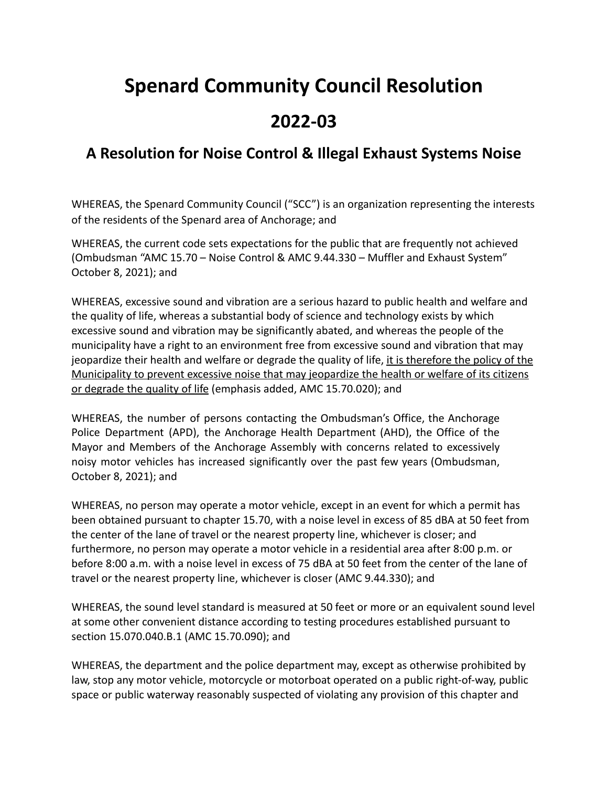## **Spenard Community Council Resolution**

## **2022-03**

## **A Resolution for Noise Control & Illegal Exhaust Systems Noise**

WHEREAS, the Spenard Community Council ("SCC") is an organization representing the interests of the residents of the Spenard area of Anchorage; and

WHEREAS, the current code sets expectations for the public that are frequently not achieved (Ombudsman "AMC 15.70 – Noise Control & AMC 9.44.330 – Muffler and Exhaust System" October 8, 2021); and

WHEREAS, excessive sound and vibration are a serious hazard to public health and welfare and the quality of life, whereas a substantial body of science and technology exists by which excessive sound and vibration may be significantly abated, and whereas the people of the municipality have a right to an environment free from excessive sound and vibration that may jeopardize their health and welfare or degrade the quality of life, it is therefore the policy of the Municipality to prevent excessive noise that may jeopardize the health or welfare of its citizens or degrade the quality of life (emphasis added, AMC 15.70.020); and

WHEREAS, the number of persons contacting the Ombudsman's Office, the Anchorage Police Department (APD), the Anchorage Health Department (AHD), the Office of the Mayor and Members of the Anchorage Assembly with concerns related to excessively noisy motor vehicles has increased significantly over the past few years (Ombudsman, October 8, 2021); and

WHEREAS, no person may operate a motor vehicle, except in an event for which a permit has been obtained pursuant to [chapter 15.70](https://library.municode.com/ak/anchorage/codes/code_of_ordinances?nodeId=TIT15ENPR_CH15.70NOCO), with a noise level in excess of 85 dBA at 50 feet from the center of the lane of travel or the nearest property line, whichever is closer; and furthermore, no person may operate a motor vehicle in a residential area after 8:00 p.m. or before 8:00 a.m. with a noise level in excess of 75 dBA at 50 feet from the center of the lane of travel or the nearest property line, whichever is closer (AMC 9.44.330); and

WHEREAS, the sound level standard is measured at 50 feet or more or an equivalent sound level at some other convenient distance according to testing procedures established pursuant to section 15.070.040.B.1 (AMC 15.70.090); and

WHEREAS, the department and the police department may, except as otherwise prohibited by law, stop any motor vehicle, motorcycle or motorboat operated on a public right-of-way, public space or public waterway reasonably suspected of violating any provision of this chapter and